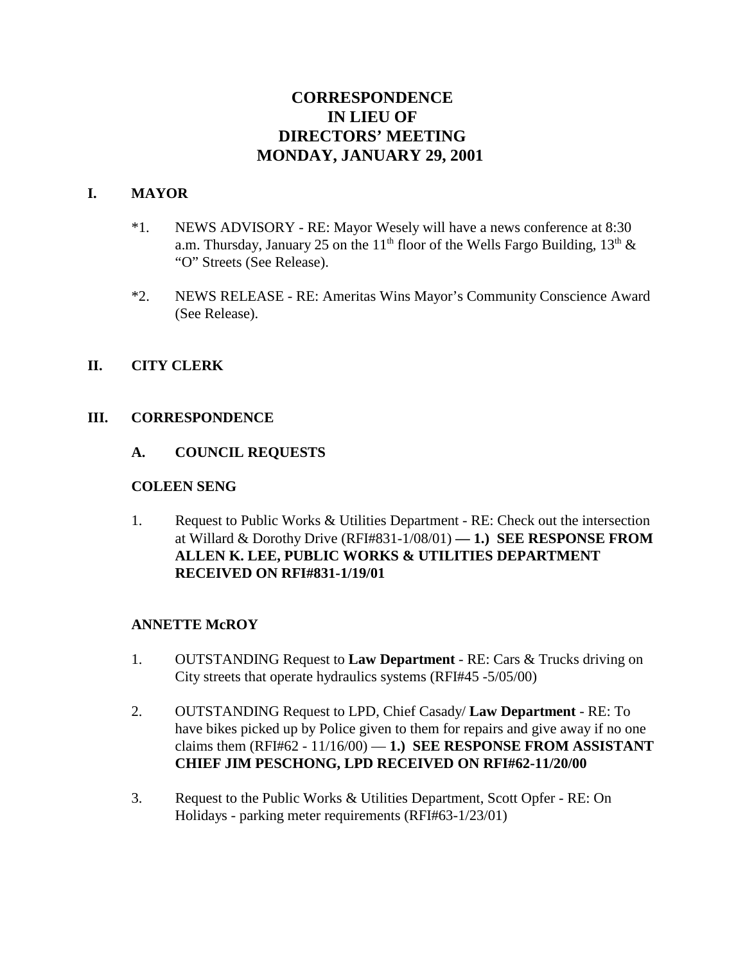# **CORRESPONDENCE IN LIEU OF DIRECTORS' MEETING MONDAY, JANUARY 29, 2001**

### **I. MAYOR**

- \*1. NEWS ADVISORY RE: Mayor Wesely will have a news conference at 8:30 a.m. Thursday, January 25 on the 11<sup>th</sup> floor of the Wells Fargo Building, 13<sup>th</sup> & "O" Streets (See Release).
- \*2. NEWS RELEASE RE: Ameritas Wins Mayor's Community Conscience Award (See Release).

### **II. CITY CLERK**

### **III. CORRESPONDENCE**

### **A. COUNCIL REQUESTS**

#### **COLEEN SENG**

1. Request to Public Works & Utilities Department - RE: Check out the intersection at Willard & Dorothy Drive (RFI#831-1/08/01) **— 1.) SEE RESPONSE FROM ALLEN K. LEE, PUBLIC WORKS & UTILITIES DEPARTMENT RECEIVED ON RFI#831-1/19/01** 

#### **ANNETTE McROY**

- 1. OUTSTANDING Request to **Law Department** RE: Cars & Trucks driving on City streets that operate hydraulics systems (RFI#45 -5/05/00)
- 2. OUTSTANDING Request to LPD, Chief Casady/ **Law Department** RE: To have bikes picked up by Police given to them for repairs and give away if no one claims them  $(RFI#62 - 11/16/00) - 1$ .) **SEE RESPONSE FROM ASSISTANT CHIEF JIM PESCHONG, LPD RECEIVED ON RFI#62-11/20/00**
- 3. Request to the Public Works & Utilities Department, Scott Opfer RE: On Holidays - parking meter requirements (RFI#63-1/23/01)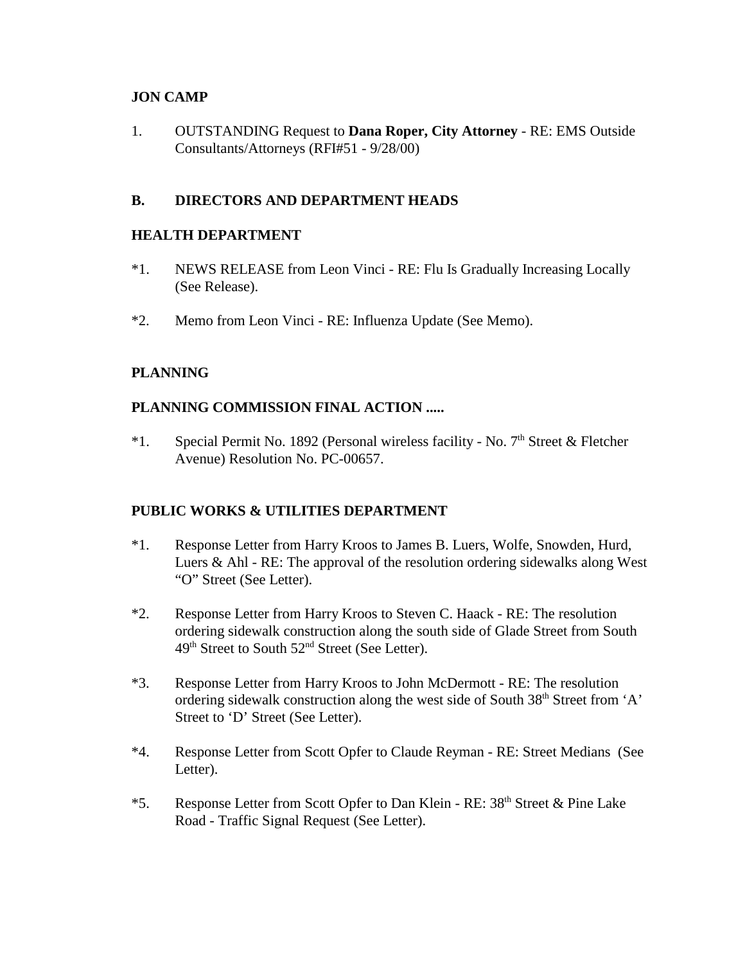# **JON CAMP**

1. OUTSTANDING Request to **Dana Roper, City Attorney** - RE: EMS Outside Consultants/Attorneys (RFI#51 - 9/28/00)

# **B. DIRECTORS AND DEPARTMENT HEADS**

# **HEALTH DEPARTMENT**

- \*1. NEWS RELEASE from Leon Vinci RE: Flu Is Gradually Increasing Locally (See Release).
- \*2. Memo from Leon Vinci RE: Influenza Update (See Memo).

# **PLANNING**

# **PLANNING COMMISSION FINAL ACTION .....**

\*1. Special Permit No. 1892 (Personal wireless facility - No.  $7<sup>th</sup>$  Street & Fletcher Avenue) Resolution No. PC-00657.

# **PUBLIC WORKS & UTILITIES DEPARTMENT**

- \*1. Response Letter from Harry Kroos to James B. Luers, Wolfe, Snowden, Hurd, Luers & Ahl - RE: The approval of the resolution ordering sidewalks along West "O" Street (See Letter).
- \*2. Response Letter from Harry Kroos to Steven C. Haack RE: The resolution ordering sidewalk construction along the south side of Glade Street from South 49<sup>th</sup> Street to South 52<sup>nd</sup> Street (See Letter).
- \*3. Response Letter from Harry Kroos to John McDermott RE: The resolution ordering sidewalk construction along the west side of South 38<sup>th</sup> Street from 'A' Street to 'D' Street (See Letter).
- \*4. Response Letter from Scott Opfer to Claude Reyman RE: Street Medians (See Letter).
- \*5. Response Letter from Scott Opfer to Dan Klein RE: 38<sup>th</sup> Street & Pine Lake Road - Traffic Signal Request (See Letter).